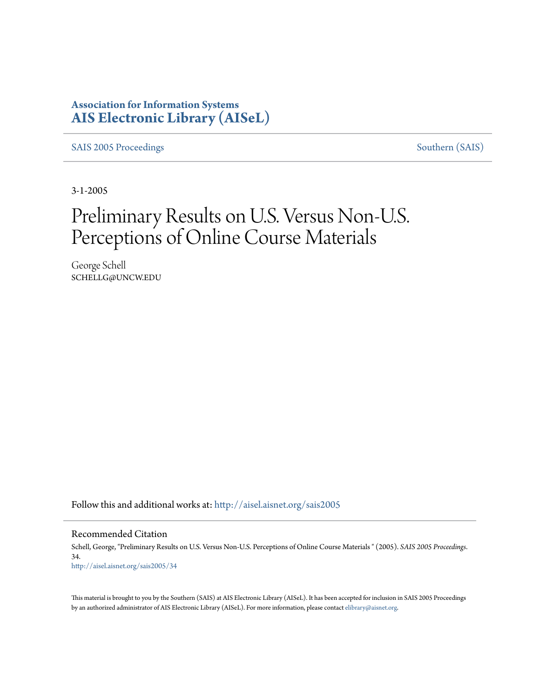# **Association for Information Systems [AIS Electronic Library \(AISeL\)](http://aisel.aisnet.org?utm_source=aisel.aisnet.org%2Fsais2005%2F34&utm_medium=PDF&utm_campaign=PDFCoverPages)**

[SAIS 2005 Proceedings](http://aisel.aisnet.org/sais2005?utm_source=aisel.aisnet.org%2Fsais2005%2F34&utm_medium=PDF&utm_campaign=PDFCoverPages) [Southern \(SAIS\)](http://aisel.aisnet.org/sais?utm_source=aisel.aisnet.org%2Fsais2005%2F34&utm_medium=PDF&utm_campaign=PDFCoverPages)

3-1-2005

# Preliminary Results on U.S. Versus Non-U.S. Perceptions of Online Course Materials

George Schell SCHELLG@UNCW.EDU

Follow this and additional works at: [http://aisel.aisnet.org/sais2005](http://aisel.aisnet.org/sais2005?utm_source=aisel.aisnet.org%2Fsais2005%2F34&utm_medium=PDF&utm_campaign=PDFCoverPages)

Recommended Citation

Schell, George, "Preliminary Results on U.S. Versus Non-U.S. Perceptions of Online Course Materials " (2005). *SAIS 2005 Proceedings*. 34. [http://aisel.aisnet.org/sais2005/34](http://aisel.aisnet.org/sais2005/34?utm_source=aisel.aisnet.org%2Fsais2005%2F34&utm_medium=PDF&utm_campaign=PDFCoverPages)

This material is brought to you by the Southern (SAIS) at AIS Electronic Library (AISeL). It has been accepted for inclusion in SAIS 2005 Proceedings by an authorized administrator of AIS Electronic Library (AISeL). For more information, please contact [elibrary@aisnet.org](mailto:elibrary@aisnet.org%3E).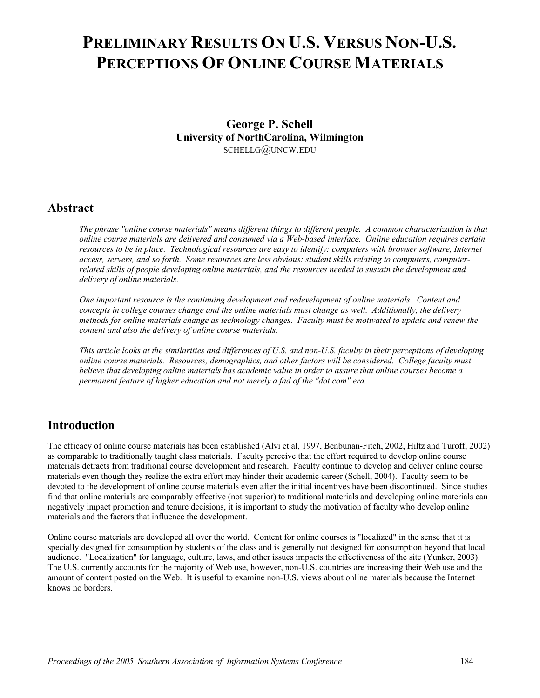# **PRELIMINARY RESULTS ON U.S. VERSUS NON-U.S. PERCEPTIONS OF ONLINE COURSE MATERIALS**

**George P. Schell University of NorthCarolina, Wilmington**  SCHELLG@UNCW.EDU

#### **Abstract**

*The phrase "online course materials" means different things to different people. A common characterization is that online course materials are delivered and consumed via a Web-based interface. Online education requires certain resources to be in place. Technological resources are easy to identify: computers with browser software, Internet*  access, servers, and so forth. Some resources are less obvious: student skills relating to *computers*, *computerrelated skills of people developing online materials, and the resources needed to sustain the development and delivery of online materials.* 

*One important resource is the continuing development and redevelopment of online materials. Content and concepts in college courses change and the online materials must change as well. Additionally, the delivery methods for online materials change as technology changes. Faculty must be motivated to update and renew the content and also the delivery of online course materials.* 

*This article looks at the similarities and differences of U.S. and non-U.S. faculty in their perceptions of developing online course materials. Resources, demographics, and other factors will be considered. College faculty must believe that developing online materials has academic value in order to assure that online courses become a permanent feature of higher education and not merely a fad of the "dot com" era.*

## **Introduction**

The efficacy of online course materials has been established (Alvi et al, 1997, Benbunan-Fitch, 2002, Hiltz and Turoff, 2002) as comparable to traditionally taught class materials. Faculty perceive that the effort required to develop online course materials detracts from traditional course development and research. Faculty continue to develop and deliver online course materials even though they realize the extra effort may hinder their academic career (Schell, 2004). Faculty seem to be devoted to the development of online course materials even after the initial incentives have been discontinued. Since studies find that online materials are comparably effective (not superior) to traditional materials and developing online materials can negatively impact promotion and tenure decisions, it is important to study the motivation of faculty who develop online materials and the factors that influence the development.

Online course materials are developed all over the world. Content for online courses is "localized" in the sense that it is specially designed for consumption by students of the class and is generally not designed for consumption beyond that local audience. "Localization" for language, culture, laws, and other issues impacts the effectiveness of the site (Yunker, 2003). The U.S. currently accounts for the majority of Web use, however, non-U.S. countries are increasing their Web use and the amount of content posted on the Web. It is useful to examine non-U.S. views about online materials because the Internet knows no borders.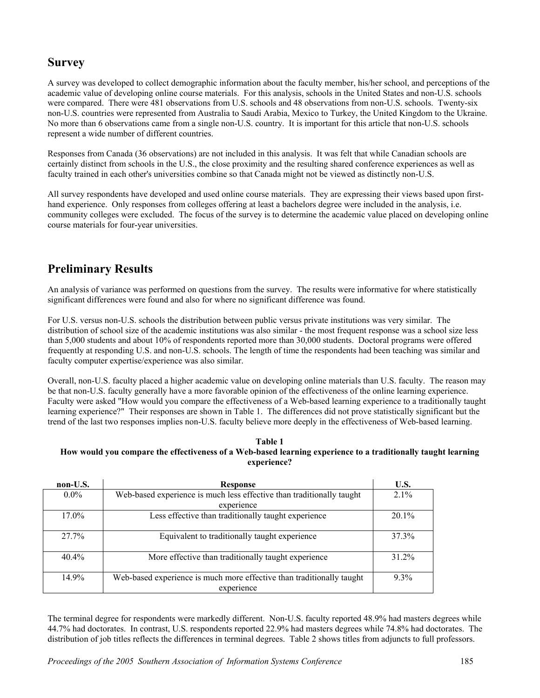## **Survey**

A survey was developed to collect demographic information about the faculty member, his/her school, and perceptions of the academic value of developing online course materials. For this analysis, schools in the United States and non-U.S. schools were compared. There were 481 observations from U.S. schools and 48 observations from non-U.S. schools. Twenty-six non-U.S. countries were represented from Australia to Saudi Arabia, Mexico to Turkey, the United Kingdom to the Ukraine. No more than 6 observations came from a single non-U.S. country. It is important for this article that non-U.S. schools represent a wide number of different countries.

Responses from Canada (36 observations) are not included in this analysis. It was felt that while Canadian schools are certainly distinct from schools in the U.S., the close proximity and the resulting shared conference experiences as well as faculty trained in each other's universities combine so that Canada might not be viewed as distinctly non-U.S.

All survey respondents have developed and used online course materials. They are expressing their views based upon firsthand experience. Only responses from colleges offering at least a bachelors degree were included in the analysis, i.e. community colleges were excluded. The focus of the survey is to determine the academic value placed on developing online course materials for four-year universities.

# **Preliminary Results**

An analysis of variance was performed on questions from the survey. The results were informative for where statistically significant differences were found and also for where no significant difference was found.

For U.S. versus non-U.S. schools the distribution between public versus private institutions was very similar. The distribution of school size of the academic institutions was also similar - the most frequent response was a school size less than 5,000 students and about 10% of respondents reported more than 30,000 students. Doctoral programs were offered frequently at responding U.S. and non-U.S. schools. The length of time the respondents had been teaching was similar and faculty computer expertise/experience was also similar.

Overall, non-U.S. faculty placed a higher academic value on developing online materials than U.S. faculty. The reason may be that non-U.S. faculty generally have a more favorable opinion of the effectiveness of the online learning experience. Faculty were asked "How would you compare the effectiveness of a Web-based learning experience to a traditionally taught learning experience?" Their responses are shown in Table 1. The differences did not prove statistically significant but the trend of the last two responses implies non-U.S. faculty believe more deeply in the effectiveness of Web-based learning.

#### **Table 1 How would you compare the effectiveness of a Web-based learning experience to a traditionally taught learning experience?**

| non-U.S. | <b>Response</b>                                                                     | U.S.     |
|----------|-------------------------------------------------------------------------------------|----------|
| $0.0\%$  | Web-based experience is much less effective than traditionally taught               | $2.1\%$  |
|          | experience                                                                          |          |
| 17.0%    | Less effective than traditionally taught experience                                 | $20.1\%$ |
| $27.7\%$ | Equivalent to traditionally taught experience                                       | 37.3%    |
| $40.4\%$ | More effective than traditionally taught experience                                 | $31.2\%$ |
| 14.9%    | Web-based experience is much more effective than traditionally taught<br>experience | $9.3\%$  |

The terminal degree for respondents were markedly different. Non-U.S. faculty reported 48.9% had masters degrees while 44.7% had doctorates. In contrast, U.S. respondents reported 22.9% had masters degrees while 74.8% had doctorates. The distribution of job titles reflects the differences in terminal degrees. Table 2 shows titles from adjuncts to full professors.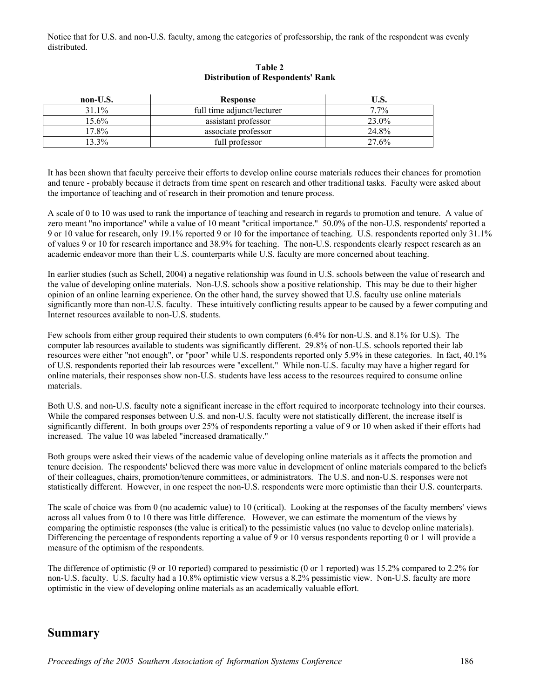Notice that for U.S. and non-U.S. faculty, among the categories of professorship, the rank of the respondent was evenly distributed.

| non-U.S. | <b>Response</b>            | U.S.    |
|----------|----------------------------|---------|
| $31.1\%$ | full time adjunct/lecturer | $7.7\%$ |
| 15.6%    | assistant professor        | 23.0%   |
| $7.8\%$  | associate professor        | 24.8%   |
| 13.3%    | full professor             | 27.6%   |

#### **Table 2 Distribution of Respondents' Rank**

It has been shown that faculty perceive their efforts to develop online course materials reduces their chances for promotion and tenure - probably because it detracts from time spent on research and other traditional tasks. Faculty were asked about the importance of teaching and of research in their promotion and tenure process.

A scale of 0 to 10 was used to rank the importance of teaching and research in regards to promotion and tenure. A value of zero meant "no importance" while a value of 10 meant "critical importance." 50.0% of the non-U.S. respondents' reported a 9 or 10 value for research, only 19.1% reported 9 or 10 for the importance of teaching. U.S. respondents reported only 31.1% of values 9 or 10 for research importance and 38.9% for teaching. The non-U.S. respondents clearly respect research as an academic endeavor more than their U.S. counterparts while U.S. faculty are more concerned about teaching.

In earlier studies (such as Schell, 2004) a negative relationship was found in U.S. schools between the value of research and the value of developing online materials. Non-U.S. schools show a positive relationship. This may be due to their higher opinion of an online learning experience. On the other hand, the survey showed that U.S. faculty use online materials significantly more than non-U.S. faculty. These intuitively conflicting results appear to be caused by a fewer computing and Internet resources available to non-U.S. students.

Few schools from either group required their students to own computers (6.4% for non-U.S. and 8.1% for U.S). The computer lab resources available to students was significantly different. 29.8% of non-U.S. schools reported their lab resources were either "not enough", or "poor" while U.S. respondents reported only 5.9% in these categories. In fact, 40.1% of U.S. respondents reported their lab resources were "excellent." While non-U.S. faculty may have a higher regard for online materials, their responses show non-U.S. students have less access to the resources required to consume online materials.

Both U.S. and non-U.S. faculty note a significant increase in the effort required to incorporate technology into their courses. While the compared responses between U.S. and non-U.S. faculty were not statistically different, the increase itself is significantly different. In both groups over 25% of respondents reporting a value of 9 or 10 when asked if their efforts had increased. The value 10 was labeled "increased dramatically."

Both groups were asked their views of the academic value of developing online materials as it affects the promotion and tenure decision. The respondents' believed there was more value in development of online materials compared to the beliefs of their colleagues, chairs, promotion/tenure committees, or administrators. The U.S. and non-U.S. responses were not statistically different. However, in one respect the non-U.S. respondents were more optimistic than their U.S. counterparts.

The scale of choice was from 0 (no academic value) to 10 (critical). Looking at the responses of the faculty members' views across all values from 0 to 10 there was little difference. However, we can estimate the momentum of the views by comparing the optimistic responses (the value is critical) to the pessimistic values (no value to develop online materials). Differencing the percentage of respondents reporting a value of 9 or 10 versus respondents reporting 0 or 1 will provide a measure of the optimism of the respondents.

The difference of optimistic (9 or 10 reported) compared to pessimistic (0 or 1 reported) was 15.2% compared to 2.2% for non-U.S. faculty. U.S. faculty had a 10.8% optimistic view versus a 8.2% pessimistic view. Non-U.S. faculty are more optimistic in the view of developing online materials as an academically valuable effort.

### **Summary**